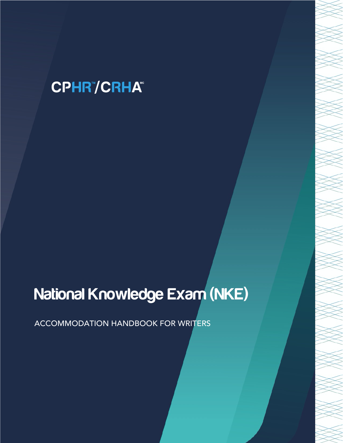# **CPHR"/CRHA"**

# National Knowledge Exam (NKE)

ACCOMMODATION HANDBOOK FOR WRITERS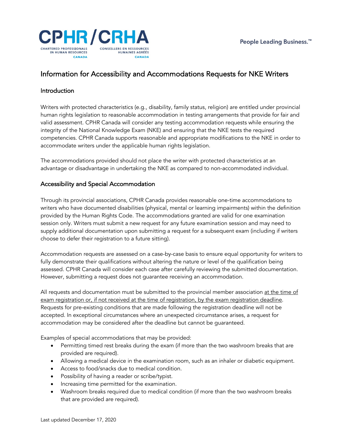

## Information for Accessibility and Accommodations Requests for NKE Writers

#### Introduction

Writers with protected characteristics (e.g., disability, family status, religion) are entitled under provincial human rights legislation to reasonable accommodation in testing arrangements that provide for fair and valid assessment. CPHR Canada will consider any testing accommodation requests while ensuring the integrity of the National Knowledge Exam (NKE) and ensuring that the NKE tests the required competencies. CPHR Canada supports reasonable and appropriate modifications to the NKE in order to accommodate writers under the applicable human rights legislation.

The accommodations provided should not place the writer with protected characteristics at an advantage or disadvantage in undertaking the NKE as compared to non-accommodated individual.

#### Accessibility and Special Accommodation

Through its provincial associations, CPHR Canada provides reasonable one-time accommodations to writers who have documented disabilities (physical, mental or learning impairments) within the definition provided by the Human Rights Code. The accommodations granted are valid for one examination session only. Writers must submit a new request for any future examination session and may need to supply additional documentation upon submitting a request for a subsequent exam (including if writers choose to defer their registration to a future sitting).

Accommodation requests are assessed on a case-by-case basis to ensure equal opportunity for writers to fully demonstrate their qualifications without altering the nature or level of the qualification being assessed. CPHR Canada will consider each case after carefully reviewing the submitted documentation. However, submitting a request does not guarantee receiving an accommodation.

All requests and documentation must be submitted to the provincial member association at the time of exam registration or, if not received at the time of registration, by the exam registration deadline. Requests for pre-existing conditions that are made following the registration deadline will not be accepted. In exceptional circumstances where an unexpected circumstance arises, a request for accommodation may be considered after the deadline but cannot be guaranteed.

Examples of special accommodations that may be provided:

- Permitting timed rest breaks during the exam (if more than the two washroom breaks that are provided are required).
- Allowing a medical device in the examination room, such as an inhaler or diabetic equipment.
- Access to food/snacks due to medical condition.
- Possibility of having a reader or scribe/typist.
- Increasing time permitted for the examination.
- Washroom breaks required due to medical condition (if more than the two washroom breaks that are provided are required).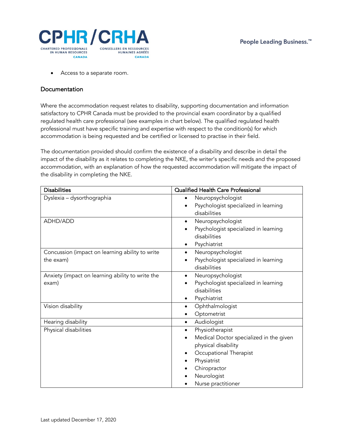

• Access to a separate room.

#### **Documentation**

Where the accommodation request relates to disability, supporting documentation and information satisfactory to CPHR Canada must be provided to the provincial exam coordinator by a qualified regulated health care professional (see examples in chart below). The qualified regulated health professional must have specific training and expertise with respect to the condition(s) for which accommodation is being requested and be certified or licensed to practise in their field.

The documentation provided should confirm the existence of a disability and describe in detail the impact of the disability as it relates to completing the NKE, the writer's specific needs and the proposed accommodation, with an explanation of how the requested accommodation will mitigate the impact of the disability in completing the NKE.

| <b>Disabilities</b>                                          | Qualified Health Care Professional                                                                                                                                                                     |
|--------------------------------------------------------------|--------------------------------------------------------------------------------------------------------------------------------------------------------------------------------------------------------|
| Dyslexia - dysorthographia                                   | Neuropsychologist<br>$\bullet$<br>Psychologist specialized in learning<br>$\bullet$<br>disabilities                                                                                                    |
| ADHD/ADD                                                     | Neuropsychologist<br>$\bullet$<br>Psychologist specialized in learning<br>disabilities<br>Psychiatrist<br>٠                                                                                            |
| Concussion (impact on learning ability to write<br>the exam) | Neuropsychologist<br>$\bullet$<br>Psychologist specialized in learning<br>$\bullet$<br>disabilities                                                                                                    |
| Anxiety (impact on learning ability to write the<br>exam)    | Neuropsychologist<br>$\bullet$<br>Psychologist specialized in learning<br>disabilities<br>Psychiatrist<br>٠                                                                                            |
| Vision disability                                            | Ophthalmologist<br>$\bullet$<br>Optometrist<br>٠                                                                                                                                                       |
| Hearing disability                                           | Audiologist<br>$\bullet$                                                                                                                                                                               |
| Physical disabilities                                        | Physiotherapist<br>$\bullet$<br>Medical Doctor specialized in the given<br>physical disability<br>Occupational Therapist<br>٠<br>Physiatrist<br>٠<br>Chiropractor<br>Neurologist<br>Nurse practitioner |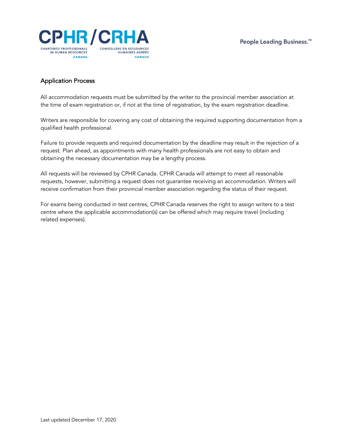

### Application Process

All accommodation requests must be submitted by the writer to the provincial member association at the time of exam registration or, if not at the time of registration, by the exam registration deadline.

Writers are responsible for covering any cost of obtaining the required supporting documentation from a qualified health professional.

Failure to provide requests and required documentation by the deadline may result in the rejection of a request. Plan ahead, as appointments with many health professionals are not easy to obtain and obtaining the necessary documentation may be a lengthy process.

All requests will be reviewed by CPHR Canada. CPHR Canada will attempt to meet all reasonable requests, however, submitting a request does not guarantee receiving an accommodation. Writers will receive confirmation from their provincial member association regarding the status of their request.

For exams being conducted in test centres, CPHR Canada reserves the right to assign writers to a test centre where the applicable accommodation(s) can be offered which may require travel (including related expenses).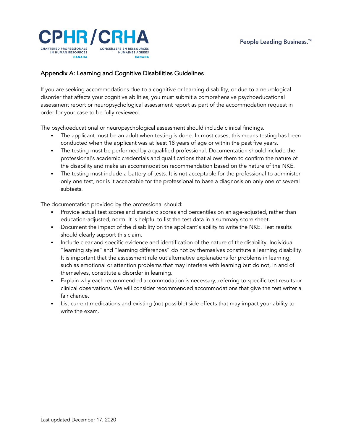

#### Appendix A: Learning and Cognitive Disabilities Guidelines

If you are seeking accommodations due to a cognitive or learning disability, or due to a neurological disorder that affects your cognitive abilities, you must submit a comprehensive psychoeducational assessment report or neuropsychological assessment report as part of the accommodation request in order for your case to be fully reviewed.

The psychoeducational or neuropsychological assessment should include clinical findings.

- The applicant must be an adult when testing is done. In most cases, this means testing has been conducted when the applicant was at least 18 years of age or within the past five years.
- The testing must be performed by a qualified professional. Documentation should include the professional's academic credentials and qualifications that allows them to confirm the nature of the disability and make an accommodation recommendation based on the nature of the NKE.
- The testing must include a battery of tests. It is not acceptable for the professional to administer only one test, nor is it acceptable for the professional to base a diagnosis on only one of several subtests.

The documentation provided by the professional should:

- Provide actual test scores and standard scores and percentiles on an age-adjusted, rather than education-adjusted, norm. It is helpful to list the test data in a summary score sheet.
- Document the impact of the disability on the applicant's ability to write the NKE. Test results should clearly support this claim.
- Include clear and specific evidence and identification of the nature of the disability. Individual "learning styles" and "learning differences" do not by themselves constitute a learning disability. It is important that the assessment rule out alternative explanations for problems in learning, such as emotional or attention problems that may interfere with learning but do not, in and of themselves, constitute a disorder in learning.
- Explain why each recommended accommodation is necessary, referring to specific test results or clinical observations. We will consider recommended accommodations that give the test writer a fair chance.
- List current medications and existing (not possible) side effects that may impact your ability to write the exam.